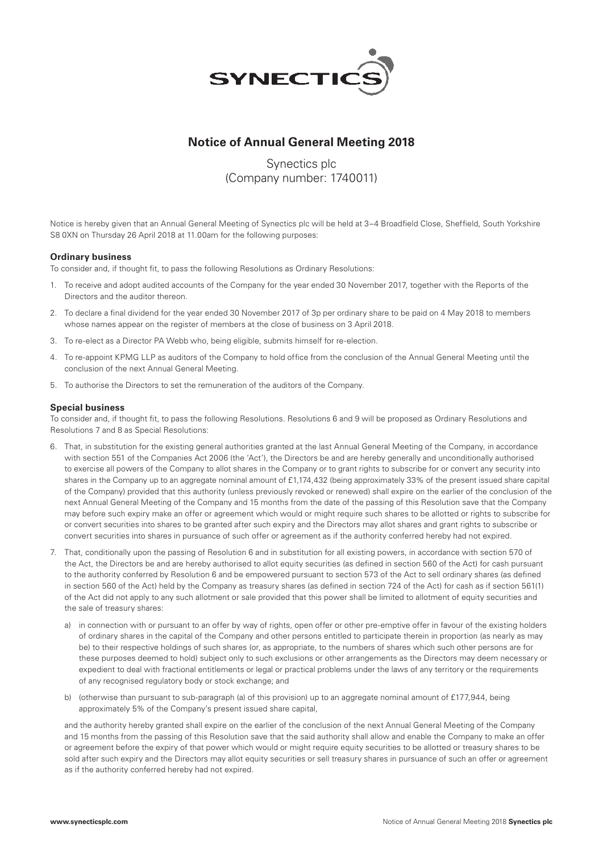

## **Notice of Annual General Meeting 2018**

# Synectics plc (Company number: 1740011)

Notice is hereby given that an Annual General Meeting of Synectics plc will be held at 3-4 Broadfield Close, Sheffield, South Yorkshire S8 0XN on Thursday 26 April 2018 at 11.00am for the following purposes:

### **Ordinary business**

To consider and, if thought fit, to pass the following Resolutions as Ordinary Resolutions:

- 1. To receive and adopt audited accounts of the Company for the year ended 30 November 2017, together with the Reports of the Directors and the auditor thereon.
- 2. To declare a final dividend for the year ended 30 November 2017 of 3p per ordinary share to be paid on 4 May 2018 to members whose names appear on the register of members at the close of business on 3 April 2018.
- 3. To re-elect as a Director PA Webb who, being eligible, submits himself for re-election.
- 4. To re-appoint KPMG LLP as auditors of the Company to hold office from the conclusion of the Annual General Meeting until the conclusion of the next Annual General Meeting.
- 5. To authorise the Directors to set the remuneration of the auditors of the Company.

### **Special business**

To consider and, if thought fit, to pass the following Resolutions. Resolutions 6 and 9 will be proposed as Ordinary Resolutions and Resolutions 7 and 8 as Special Resolutions:

- 6. That, in substitution for the existing general authorities granted at the last Annual General Meeting of the Company, in accordance with section 551 of the Companies Act 2006 (the 'Act'), the Directors be and are hereby generally and unconditionally authorised to exercise all powers of the Company to allot shares in the Company or to grant rights to subscribe for or convert any security into shares in the Company up to an aggregate nominal amount of £1,174,432 (being approximately 33% of the present issued share capital of the Company) provided that this authority (unless previously revoked or renewed) shall expire on the earlier of the conclusion of the next Annual General Meeting of the Company and 15 months from the date of the passing of this Resolution save that the Company may before such expiry make an offer or agreement which would or might require such shares to be allotted or rights to subscribe for or convert securities into shares to be granted after such expiry and the Directors may allot shares and grant rights to subscribe or convert securities into shares in pursuance of such offer or agreement as if the authority conferred hereby had not expired.
- 7. That, conditionally upon the passing of Resolution 6 and in substitution for all existing powers, in accordance with section 570 of the Act, the Directors be and are hereby authorised to allot equity securities (as defined in section 560 of the Act) for cash pursuant to the authority conferred by Resolution 6 and be empowered pursuant to section 573 of the Act to sell ordinary shares (as defined in section 560 of the Act) held by the Company as treasury shares (as defined in section 724 of the Act) for cash as if section 561(1) of the Act did not apply to any such allotment or sale provided that this power shall be limited to allotment of equity securities and the sale of treasury shares:
	- a) in connection with or pursuant to an offer by way of rights, open offer or other pre-emptive offer in favour of the existing holders of ordinary shares in the capital of the Company and other persons entitled to participate therein in proportion (as nearly as may be) to their respective holdings of such shares (or, as appropriate, to the numbers of shares which such other persons are for these purposes deemed to hold) subject only to such exclusions or other arrangements as the Directors may deem necessary or expedient to deal with fractional entitlements or legal or practical problems under the laws of any territory or the requirements of any recognised regulatory body or stock exchange; and
	- b) (otherwise than pursuant to sub-paragraph (a) of this provision) up to an aggregate nominal amount of £177,944, being approximately 5% of the Company's present issued share capital,

 and the authority hereby granted shall expire on the earlier of the conclusion of the next Annual General Meeting of the Company and 15 months from the passing of this Resolution save that the said authority shall allow and enable the Company to make an offer or agreement before the expiry of that power which would or might require equity securities to be allotted or treasury shares to be sold after such expiry and the Directors may allot equity securities or sell treasury shares in pursuance of such an offer or agreement as if the authority conferred hereby had not expired.